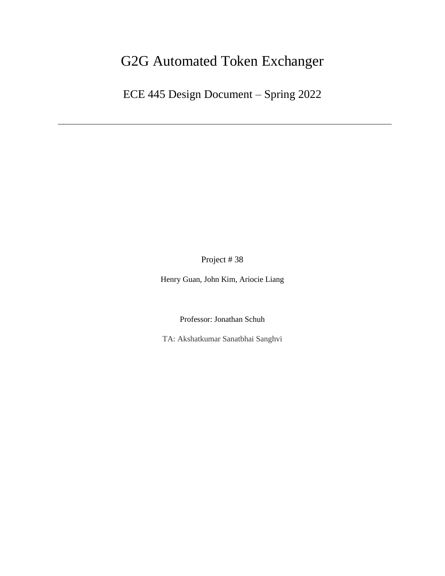# G2G Automated Token Exchanger

ECE 445 Design Document – Spring 2022

Project # 38

Henry Guan, John Kim, Ariocie Liang

Professor: Jonathan Schuh

TA: Akshatkumar Sanatbhai Sanghvi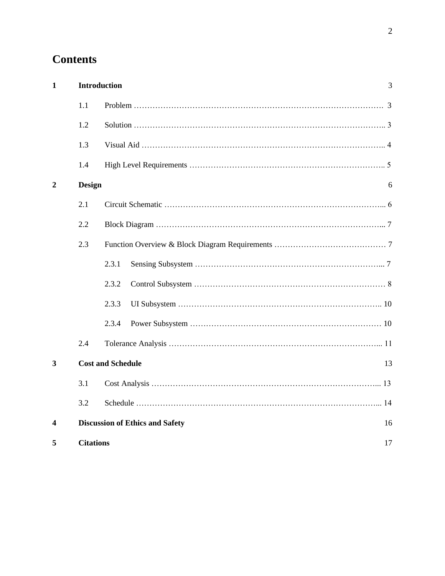# **Contents**

| $\mathbf{1}$ | <b>Introduction</b> | 3                                            |
|--------------|---------------------|----------------------------------------------|
|              | 1.1                 |                                              |
|              | 1.2                 |                                              |
|              | 1.3                 |                                              |
|              | 1.4                 |                                              |
| 2            | <b>Design</b>       | 6                                            |
|              | 2.1                 |                                              |
|              | 2.2                 |                                              |
|              | 2.3                 |                                              |
|              |                     | 2.3.1                                        |
|              |                     | 2.3.2                                        |
|              |                     | 2.3.3                                        |
|              |                     | 2.3.4                                        |
|              | 2.4                 |                                              |
| 3            |                     | <b>Cost and Schedule</b><br>13               |
|              | 3.1                 |                                              |
|              | 3.2                 |                                              |
| 4            |                     | <b>Discussion of Ethics and Safety</b><br>16 |
| 5            | <b>Citations</b>    | 17                                           |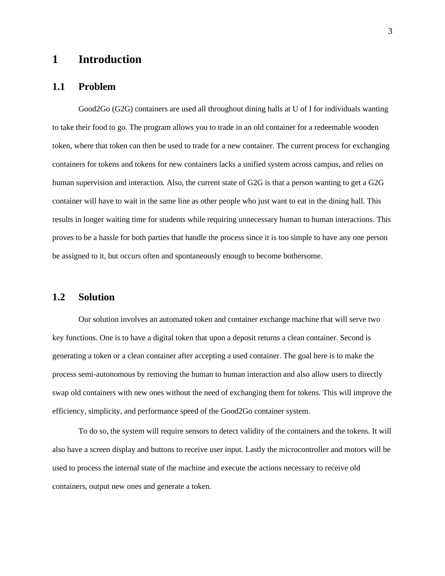### **1 Introduction**

#### **1.1 Problem**

Good2Go (G2G) containers are used all throughout dining halls at U of I for individuals wanting to take their food to go. The program allows you to trade in an old container for a redeemable wooden token, where that token can then be used to trade for a new container. The current process for exchanging containers for tokens and tokens for new containers lacks a unified system across campus, and relies on human supervision and interaction. Also, the current state of G2G is that a person wanting to get a G2G container will have to wait in the same line as other people who just want to eat in the dining hall. This results in longer waiting time for students while requiring unnecessary human to human interactions. This proves to be a hassle for both parties that handle the process since it is too simple to have any one person be assigned to it, but occurs often and spontaneously enough to become bothersome.

#### **1.2 Solution**

Our solution involves an automated token and container exchange machine that will serve two key functions. One is to have a digital token that upon a deposit returns a clean container. Second is generating a token or a clean container after accepting a used container. The goal here is to make the process semi-autonomous by removing the human to human interaction and also allow users to directly swap old containers with new ones without the need of exchanging them for tokens. This will improve the efficiency, simplicity, and performance speed of the Good2Go container system.

To do so, the system will require sensors to detect validity of the containers and the tokens. It will also have a screen display and buttons to receive user input. Lastly the microcontroller and motors will be used to process the internal state of the machine and execute the actions necessary to receive old containers, output new ones and generate a token.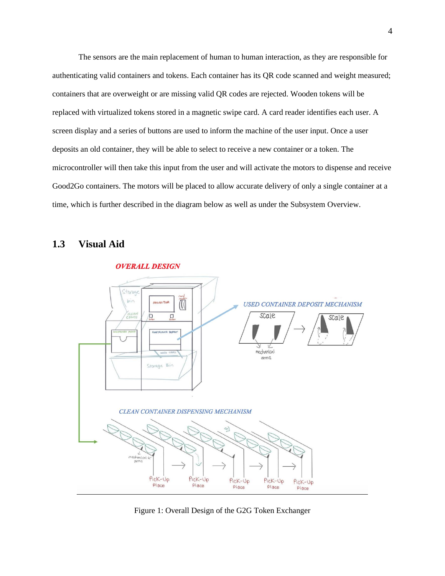The sensors are the main replacement of human to human interaction, as they are responsible for authenticating valid containers and tokens. Each container has its QR code scanned and weight measured; containers that are overweight or are missing valid QR codes are rejected. Wooden tokens will be replaced with virtualized tokens stored in a magnetic swipe card. A card reader identifies each user. A screen display and a series of buttons are used to inform the machine of the user input. Once a user deposits an old container, they will be able to select to receive a new container or a token. The microcontroller will then take this input from the user and will activate the motors to dispense and receive Good2Go containers. The motors will be placed to allow accurate delivery of only a single container at a time, which is further described in the diagram below as well as under the Subsystem Overview.

#### **1.3 Visual Aid**



Figure 1: Overall Design of the G2G Token Exchanger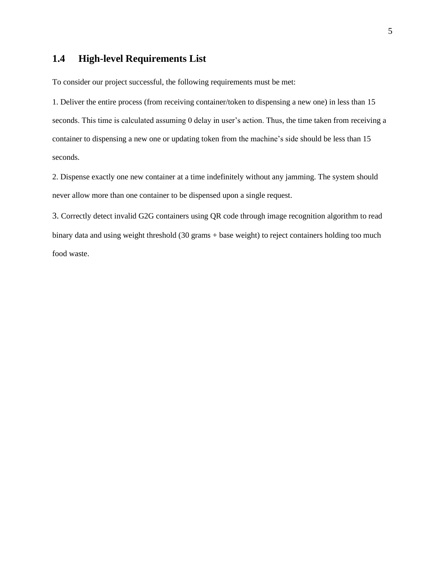## **1.4 High-level Requirements List**

To consider our project successful, the following requirements must be met:

1. Deliver the entire process (from receiving container/token to dispensing a new one) in less than 15 seconds. This time is calculated assuming 0 delay in user's action. Thus, the time taken from receiving a container to dispensing a new one or updating token from the machine's side should be less than 15 seconds.

2. Dispense exactly one new container at a time indefinitely without any jamming. The system should never allow more than one container to be dispensed upon a single request.

3. Correctly detect invalid G2G containers using QR code through image recognition algorithm to read binary data and using weight threshold (30 grams + base weight) to reject containers holding too much food waste.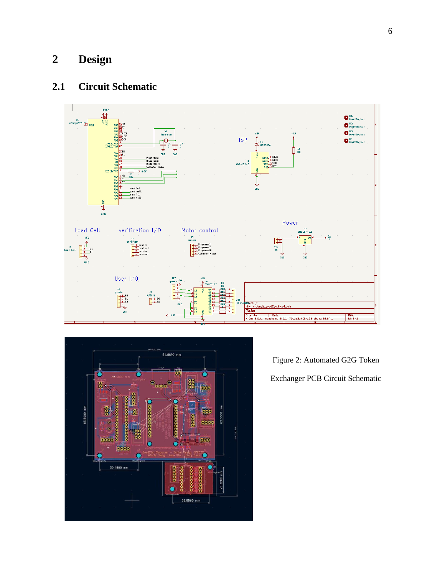# **2 Design**

# **2.1 Circuit Schematic**





Figure 2: Automated G2G Token Exchanger PCB Circuit Schematic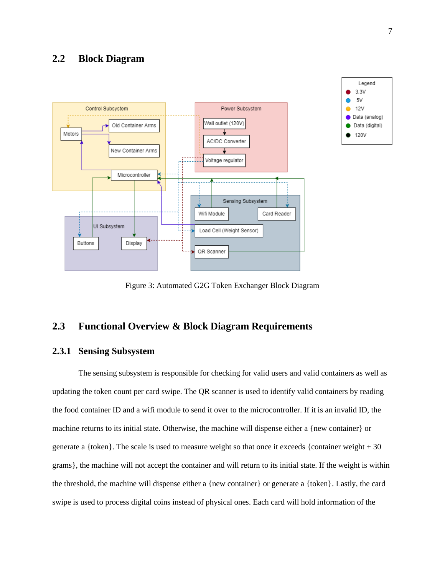



Figure 3: Automated G2G Token Exchanger Block Diagram

### **2.3 Functional Overview & Block Diagram Requirements**

#### **2.3.1 Sensing Subsystem**

The sensing subsystem is responsible for checking for valid users and valid containers as well as updating the token count per card swipe. The QR scanner is used to identify valid containers by reading the food container ID and a wifi module to send it over to the microcontroller. If it is an invalid ID, the machine returns to its initial state. Otherwise, the machine will dispense either a {new container} or generate a {token}. The scale is used to measure weight so that once it exceeds {container weight + 30 grams}, the machine will not accept the container and will return to its initial state. If the weight is within the threshold, the machine will dispense either a {new container} or generate a {token}. Lastly, the card swipe is used to process digital coins instead of physical ones. Each card will hold information of the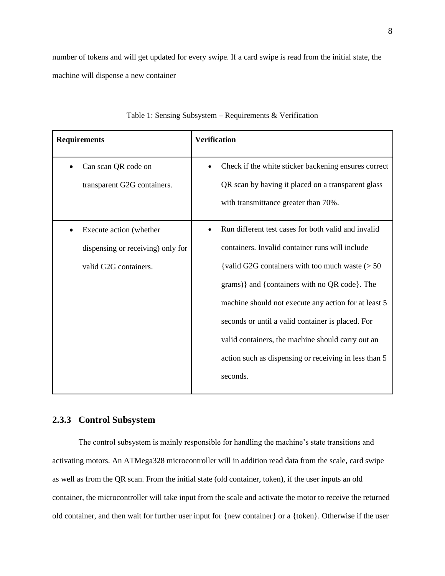number of tokens and will get updated for every swipe. If a card swipe is read from the initial state, the machine will dispense a new container

| <b>Requirements</b>                                                                   | <b>Verification</b>                                                                                                                                                                                                                                                                                                                                                                                                                               |  |  |  |
|---------------------------------------------------------------------------------------|---------------------------------------------------------------------------------------------------------------------------------------------------------------------------------------------------------------------------------------------------------------------------------------------------------------------------------------------------------------------------------------------------------------------------------------------------|--|--|--|
| Can scan QR code on<br>transparent G2G containers.                                    | Check if the white sticker backening ensures correct<br>٠<br>QR scan by having it placed on a transparent glass<br>with transmittance greater than 70%.                                                                                                                                                                                                                                                                                           |  |  |  |
| Execute action (whether<br>dispensing or receiving) only for<br>valid G2G containers. | Run different test cases for both valid and invalid<br>containers. Invalid container runs will include<br>{valid G2G containers with too much waste $(>50$<br>grams) and {containers with no QR code}. The<br>machine should not execute any action for at least 5<br>seconds or until a valid container is placed. For<br>valid containers, the machine should carry out an<br>action such as dispensing or receiving in less than 5<br>seconds. |  |  |  |

#### **2.3.3 Control Subsystem**

The control subsystem is mainly responsible for handling the machine's state transitions and activating motors. An ATMega328 microcontroller will in addition read data from the scale, card swipe as well as from the QR scan. From the initial state (old container, token), if the user inputs an old container, the microcontroller will take input from the scale and activate the motor to receive the returned old container, and then wait for further user input for {new container} or a {token}. Otherwise if the user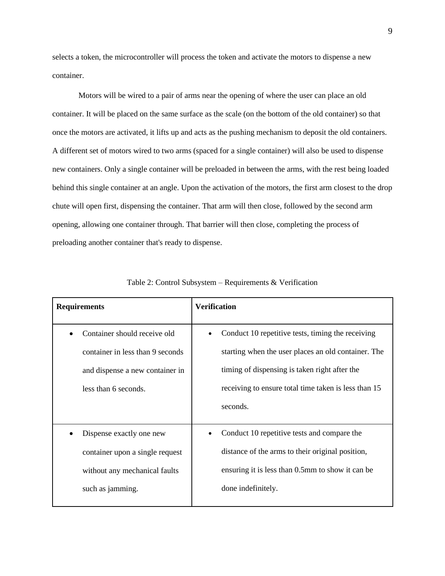selects a token, the microcontroller will process the token and activate the motors to dispense a new container.

Motors will be wired to a pair of arms near the opening of where the user can place an old container. It will be placed on the same surface as the scale (on the bottom of the old container) so that once the motors are activated, it lifts up and acts as the pushing mechanism to deposit the old containers. A different set of motors wired to two arms (spaced for a single container) will also be used to dispense new containers. Only a single container will be preloaded in between the arms, with the rest being loaded behind this single container at an angle. Upon the activation of the motors, the first arm closest to the drop chute will open first, dispensing the container. That arm will then close, followed by the second arm opening, allowing one container through. That barrier will then close, completing the process of preloading another container that's ready to dispense.

| <b>Requirements</b>                                                                                                         | <b>Verification</b>                                                                                                                                                                                                           |  |  |
|-----------------------------------------------------------------------------------------------------------------------------|-------------------------------------------------------------------------------------------------------------------------------------------------------------------------------------------------------------------------------|--|--|
| Container should receive old<br>container in less than 9 seconds<br>and dispense a new container in<br>less than 6 seconds. | Conduct 10 repetitive tests, timing the receiving<br>starting when the user places an old container. The<br>timing of dispensing is taken right after the<br>receiving to ensure total time taken is less than 15<br>seconds. |  |  |
| Dispense exactly one new<br>container upon a single request<br>without any mechanical faults<br>such as jamming.            | Conduct 10 repetitive tests and compare the<br>distance of the arms to their original position,<br>ensuring it is less than 0.5mm to show it can be<br>done indefinitely.                                                     |  |  |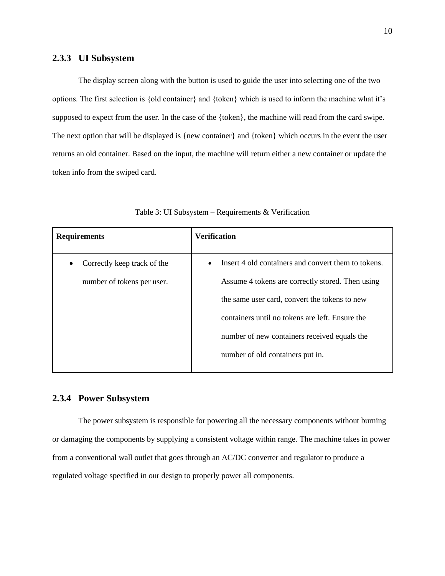#### **2.3.3 UI Subsystem**

The display screen along with the button is used to guide the user into selecting one of the two options. The first selection is {old container} and {token} which is used to inform the machine what it's supposed to expect from the user. In the case of the {token}, the machine will read from the card swipe. The next option that will be displayed is {new container} and {token} which occurs in the event the user returns an old container. Based on the input, the machine will return either a new container or update the token info from the swiped card.

| <b>Requirements</b>         | <b>Verification</b>                                              |
|-----------------------------|------------------------------------------------------------------|
| Correctly keep track of the | Insert 4 old containers and convert them to tokens.<br>$\bullet$ |
| number of tokens per user.  | Assume 4 tokens are correctly stored. Then using                 |
|                             | the same user card, convert the tokens to new                    |
|                             | containers until no tokens are left. Ensure the                  |
|                             | number of new containers received equals the                     |
|                             | number of old containers put in.                                 |
|                             |                                                                  |

Table 3: UI Subsystem – Requirements & Verification

#### **2.3.4 Power Subsystem**

The power subsystem is responsible for powering all the necessary components without burning or damaging the components by supplying a consistent voltage within range. The machine takes in power from a conventional wall outlet that goes through an AC/DC converter and regulator to produce a regulated voltage specified in our design to properly power all components.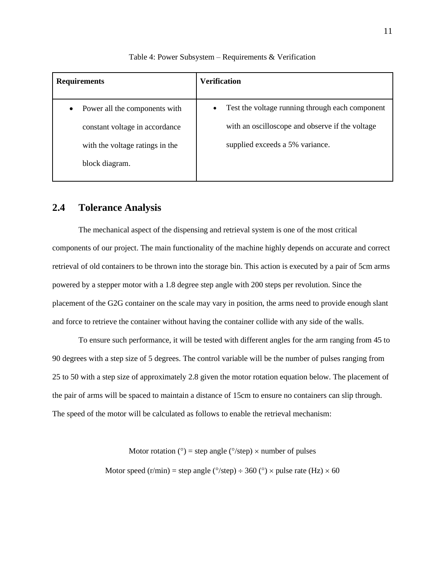| <b>Requirements</b>                        | <b>Verification</b>                                          |  |  |
|--------------------------------------------|--------------------------------------------------------------|--|--|
| Power all the components with<br>$\bullet$ | Test the voltage running through each component<br>$\bullet$ |  |  |
| constant voltage in accordance             | with an oscilloscope and observe if the voltage              |  |  |
| with the voltage ratings in the            | supplied exceeds a 5% variance.                              |  |  |
| block diagram.                             |                                                              |  |  |
|                                            |                                                              |  |  |

#### Table 4: Power Subsystem – Requirements & Verification

#### **2.4 Tolerance Analysis**

The mechanical aspect of the dispensing and retrieval system is one of the most critical components of our project. The main functionality of the machine highly depends on accurate and correct retrieval of old containers to be thrown into the storage bin. This action is executed by a pair of 5cm arms powered by a stepper motor with a 1.8 degree step angle with 200 steps per revolution. Since the placement of the G2G container on the scale may vary in position, the arms need to provide enough slant and force to retrieve the container without having the container collide with any side of the walls.

To ensure such performance, it will be tested with different angles for the arm ranging from 45 to 90 degrees with a step size of 5 degrees. The control variable will be the number of pulses ranging from 25 to 50 with a step size of approximately 2.8 given the motor rotation equation below. The placement of the pair of arms will be spaced to maintain a distance of 15cm to ensure no containers can slip through. The speed of the motor will be calculated as follows to enable the retrieval mechanism:

Motor rotation (°) = step angle (°/step)  $\times$  number of pulses

Motor speed (r/min) = step angle ( $\degree$ /step)  $\div$  360 ( $\degree$ )  $\times$  pulse rate (Hz)  $\times$  60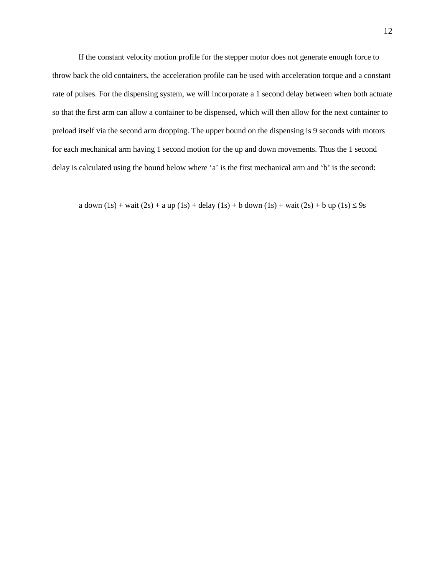If the constant velocity motion profile for the stepper motor does not generate enough force to throw back the old containers, the acceleration profile can be used with acceleration torque and a constant rate of pulses. For the dispensing system, we will incorporate a 1 second delay between when both actuate so that the first arm can allow a container to be dispensed, which will then allow for the next container to preload itself via the second arm dropping. The upper bound on the dispensing is 9 seconds with motors for each mechanical arm having 1 second motion for the up and down movements. Thus the 1 second delay is calculated using the bound below where 'a' is the first mechanical arm and 'b' is the second:

a down  $(1s)$  + wait  $(2s)$  + a up  $(1s)$  + delay  $(1s)$  + b down  $(1s)$  + wait  $(2s)$  + b up  $(1s)$   $\leq$  9s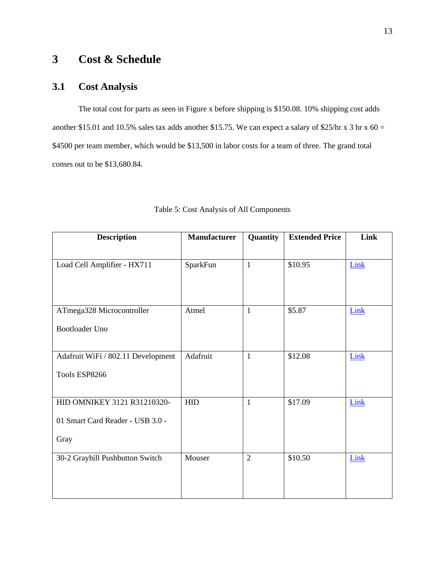## **3 Cost & Schedule**

### **3.1 Cost Analysis**

The total cost for parts as seen in Figure x before shipping is \$150.08. 10% shipping cost adds another \$15.01 and 10.5% sales tax adds another \$15.75. We can expect a salary of \$25/hr x 3 hr x  $60 =$ \$4500 per team member, which would be \$13,500 in labor costs for a team of three. The grand total comes out to be \$13,680.84.

| <b>Description</b>                 | <b>Manufacturer</b> | Quantity       | <b>Extended Price</b> | Link |
|------------------------------------|---------------------|----------------|-----------------------|------|
|                                    |                     |                |                       |      |
| Load Cell Amplifier - HX711        | SparkFun            | $\mathbf{1}$   | \$10.95               | Link |
|                                    |                     |                |                       |      |
|                                    |                     |                |                       |      |
| ATmega328 Microcontroller          | Atmel               | $\mathbf{1}$   | \$5.87                | Link |
| <b>Bootloader Uno</b>              |                     |                |                       |      |
|                                    |                     |                |                       |      |
| Adafruit WiFi / 802.11 Development | Adafruit            | $\mathbf{1}$   | \$12.08               | Link |
| Tools ESP8266                      |                     |                |                       |      |
|                                    |                     |                |                       |      |
| HID OMNIKEY 3121 R31210320-        | <b>HID</b>          | $\mathbf{1}$   | \$17.09               | Link |
| 01 Smart Card Reader - USB 3.0 -   |                     |                |                       |      |
| Gray                               |                     |                |                       |      |
|                                    |                     |                |                       |      |
| 30-2 Grayhill Pushbutton Switch    | Mouser              | $\overline{2}$ | \$10.50               | Link |
|                                    |                     |                |                       |      |
|                                    |                     |                |                       |      |

|  |  |  | Table 5: Cost Analysis of All Components |
|--|--|--|------------------------------------------|
|--|--|--|------------------------------------------|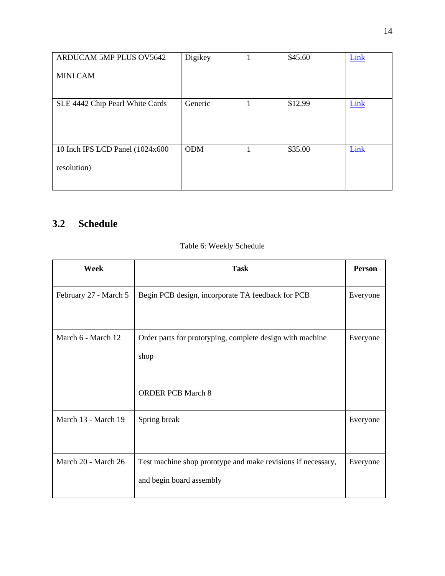| ARDUCAM 5MP PLUS OV5642          | Digikey    |    | \$45.60 | Link |
|----------------------------------|------------|----|---------|------|
| <b>MINI CAM</b>                  |            |    |         |      |
|                                  |            |    |         |      |
| SLE 4442 Chip Pearl White Cards  | Generic    | -1 | \$12.99 | Link |
|                                  |            |    |         |      |
|                                  |            |    |         |      |
| 10 Inch IPS LCD Panel (1024x600) | <b>ODM</b> | 1  | \$35.00 | Link |
| resolution)                      |            |    |         |      |
|                                  |            |    |         |      |

# **3.2 Schedule**

| Week                  | <b>Task</b>                                                                                   | <b>Person</b> |
|-----------------------|-----------------------------------------------------------------------------------------------|---------------|
| February 27 - March 5 | Begin PCB design, incorporate TA feedback for PCB                                             | Everyone      |
| March 6 - March 12    | Order parts for prototyping, complete design with machine<br>shop<br><b>ORDER PCB March 8</b> | Everyone      |
| March 13 - March 19   | Spring break                                                                                  | Everyone      |
| March 20 - March 26   | Test machine shop prototype and make revisions if necessary,<br>and begin board assembly      | Everyone      |

### Table 6: Weekly Schedule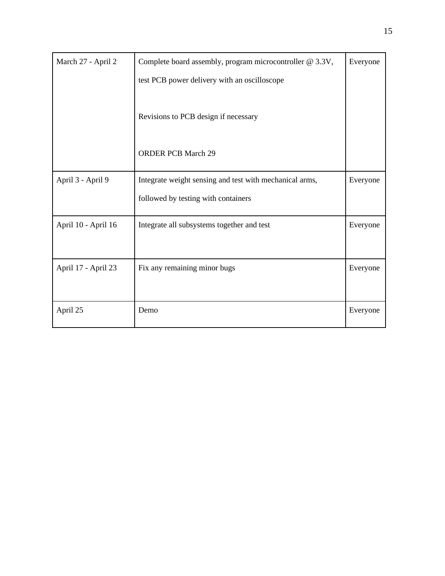| March 27 - April 2  | Complete board assembly, program microcontroller @ 3.3V,<br>Everyone |          |  |
|---------------------|----------------------------------------------------------------------|----------|--|
|                     | test PCB power delivery with an oscilloscope                         |          |  |
|                     | Revisions to PCB design if necessary                                 |          |  |
|                     | <b>ORDER PCB March 29</b>                                            |          |  |
| April 3 - April 9   | Integrate weight sensing and test with mechanical arms,              | Everyone |  |
|                     | followed by testing with containers                                  |          |  |
| April 10 - April 16 | Integrate all subsystems together and test                           | Everyone |  |
|                     |                                                                      |          |  |
| April 17 - April 23 | Fix any remaining minor bugs                                         | Everyone |  |
|                     |                                                                      |          |  |
| April 25            | Demo                                                                 | Everyone |  |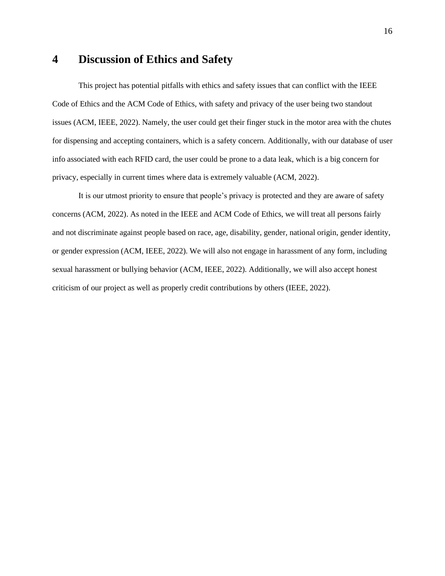### **4 Discussion of Ethics and Safety**

This project has potential pitfalls with ethics and safety issues that can conflict with the IEEE Code of Ethics and the ACM Code of Ethics, with safety and privacy of the user being two standout issues (ACM, IEEE, 2022). Namely, the user could get their finger stuck in the motor area with the chutes for dispensing and accepting containers, which is a safety concern. Additionally, with our database of user info associated with each RFID card, the user could be prone to a data leak, which is a big concern for privacy, especially in current times where data is extremely valuable (ACM, 2022).

It is our utmost priority to ensure that people's privacy is protected and they are aware of safety concerns (ACM, 2022). As noted in the IEEE and ACM Code of Ethics, we will treat all persons fairly and not discriminate against people based on race, age, disability, gender, national origin, gender identity, or gender expression (ACM, IEEE, 2022). We will also not engage in harassment of any form, including sexual harassment or bullying behavior (ACM, IEEE, 2022). Additionally, we will also accept honest criticism of our project as well as properly credit contributions by others (IEEE, 2022).